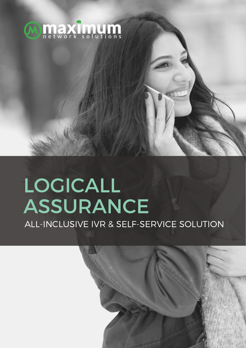

# LOGICALL ASSURANCE

ALL-INCLUSIVE IVR & SELF-SERVICE SOLUTION

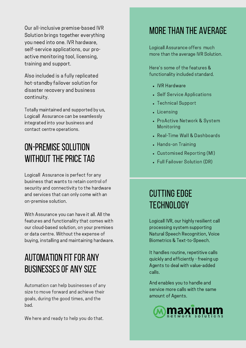Our all-inclusive premise-based IVR Solution brings together everything you need into one. IVR hardware, self-service applications, our proactive monitoring tool, licensing, training and support.

Also included is a fully replicated hot-standby failover solution for disaster recovery and business continuity.

Totally maintained and supported by us, Logicall Assurance can be seamlessly integrated into your business and contact centre operations.

### ON-PREMISE SOLUTION WITHOUT THE PRICE TAG

Logicall Assurance is perfect for any business that wants to retain control of security and connectivity to the hardware and services that can only come with an on-premise solution.

With Assurance you can have it all. All the features and functionality that comes with our cloud-based solution, on your premises or data centre. Without the expense of buying, installing and maintaining hardware.

# **AUTOMATION FIT FOR ANY BUSINESSES OF ANY SIZE**

Automation can help businesses of any size to move forward and achieve their goals, during the good times, and the bad.

We here and ready to help you do that.

#### MORE THAN THE AVERAGE

Logicall Assurance offers much more than the average IVR Solution.

Here's some of the features & functionality included standard.

- IVR Hardware
- Self Service Applications
- Technical Support
- Licensing
- ProActive Network & System Monitoring
- Real-Time Wall & Dashboards
- Hands-on Training
- Customised Reporting (MI)
- Full Failover Solution (DR)

## cutting edge **TECHNOLOGY**

Logicall IVR, our highly resilient call processing system supporting Natural Speech Recognition, Voice Biometrics & Text-to-Speech.

It handles routine, repetitive calls quickly and efficiently - freeing up Agents to deal with value-added calls.

And enables you to handle and service more calls with the same amount of Agents.

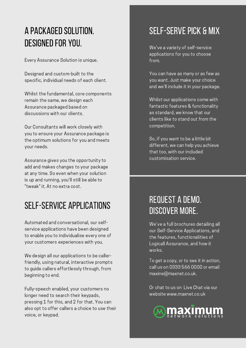# a packagedsolution. designedfor you.

Every Assurance Solution is unique.

Designed and custom-built to the specific, individual needs of each client.

Whilst the fundamental, core components remain the same, we design each Assurance packaged based on discussions with our clients.

Our Consultants will work closely with you to ensure your Assurance package is the optimum solutions for you and meets your needs.

Assurance gives you the opportunity to add and makes changes to your package at any time. So even when your solution is up and running, you'll still be able to "tweak" it. At no extra cost.

## self-service applications

Automated and conversational, our selfservice applications have been designed to enable you to individualise every one of your customers experiences with you.

We design all our applications to be callerfriendly, using natural, interactive prompts to guide callers effortlessly through, from beginning to end.

Fully-speech enabled, your customers no longer need to search their keypads, pressing 1 for this, and 2 for that. You can also opt to offer callers a choice to use their voice, or keypad.

# SELF-SERVE PICK & MIX

We've a variety of self-service applications for you to choose from.

You can have as many or as few as you want. Just make your choice and we'll include it in your package.

Whilst our applications come with fantastic features & functionality as standard, we know that our clients like to stand out from the competition.

So, if you want to be a little bit different, we can help you achieve that too, with our included customisation service.

## request a demo. discover more.

We've a full brochures detailing all our Self-Service Applications, and the features, functionalities of Logicall Assurance, and how it works.

To get a copy, or to see it in action, call us on 0333 566 0000 or email maxine@maxnet.co.uk.

Or chat to us on Live Chat via our website www.maxnet.co.uk